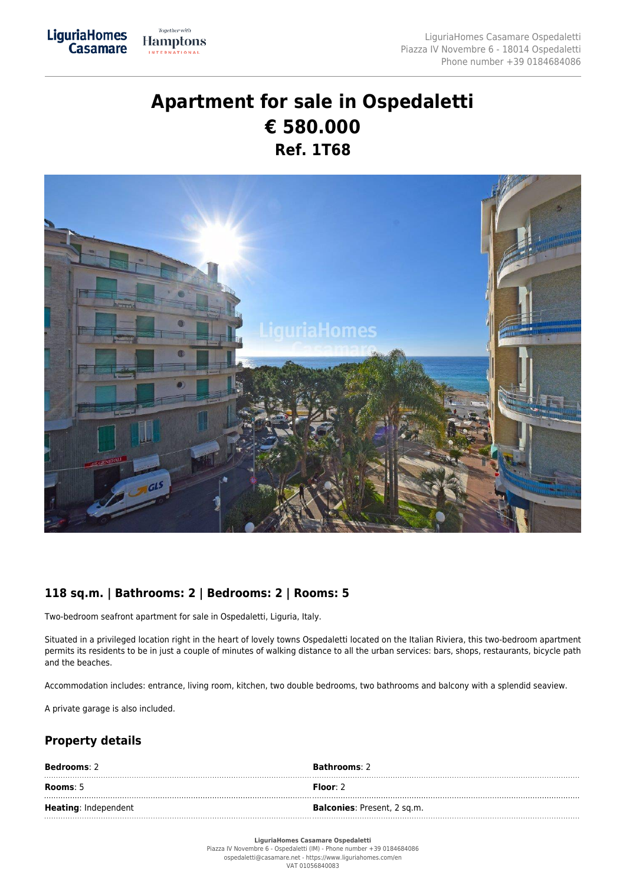## **Apartment for sale in Ospedaletti € 580.000 Ref. 1T68**



## **118 sq.m. | Bathrooms: 2 | Bedrooms: 2 | Rooms: 5**

Two-bedroom seafront apartment for sale in Ospedaletti, Liguria, Italy.

Together with

**Hamptons INTERNATIONAL** 

LiguriaHomes<br>Casamare

Situated in a privileged location right in the heart of lovely towns Ospedaletti located on the Italian Riviera, this two-bedroom apartment permits its residents to be in just a couple of minutes of walking distance to all the urban services: bars, shops, restaurants, bicycle path and the beaches.

Accommodation includes: entrance, living room, kitchen, two double bedrooms, two bathrooms and balcony with a splendid seaview.

A private garage is also included.

## **Property details**

| <b>Bedrooms</b> : 2         | <b>Bathrooms: 2</b>                 |
|-----------------------------|-------------------------------------|
| Rooms: $5$                  | Floor: $2$                          |
| <b>Heating: Independent</b> | <b>Balconies</b> : Present, 2 sq.m. |

**LiguriaHomes Casamare Ospedaletti**

Piazza IV Novembre 6 - Ospedaletti (IM) - Phone number +39 0184684086 ospedaletti@casamare.net - https://www.liguriahomes.com/en VAT 01056840083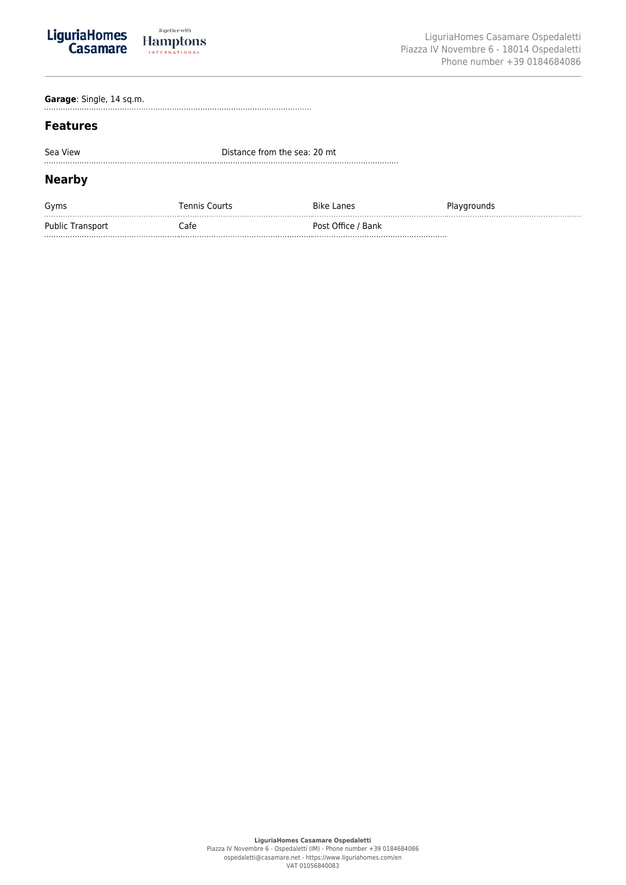

**Garage**: Single, 14 sq.m.

## **Features**

| Sea View                | Distance from the sea: 20 mt |                    |             |  |
|-------------------------|------------------------------|--------------------|-------------|--|
| Nearby                  |                              |                    |             |  |
| Gyms                    | <b>Tennis Courts</b>         | <b>Bike Lanes</b>  | Playgrounds |  |
| <b>Public Transport</b> | `afe                         | Post Office / Bank |             |  |

Public Transport Cafe Post Office / Bank